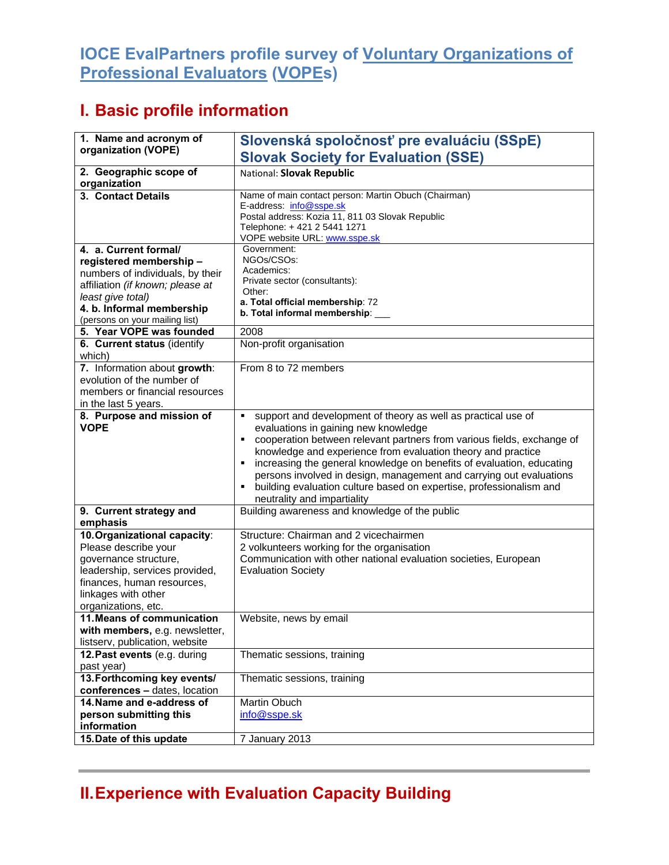## **IOCE EvalPartners profile survey of Voluntary Organizations of Professional Evaluators (VOPEs)**

## **I. Basic profile information**

| 1. Name and acronym of<br>organization (VOPE)                                                                                                                                                               | Slovenská spoločnosť pre evaluáciu (SSpE)<br><b>Slovak Society for Evaluation (SSE)</b>                                                                                                                                                                                                                                                                                                                                                                                                                                   |
|-------------------------------------------------------------------------------------------------------------------------------------------------------------------------------------------------------------|---------------------------------------------------------------------------------------------------------------------------------------------------------------------------------------------------------------------------------------------------------------------------------------------------------------------------------------------------------------------------------------------------------------------------------------------------------------------------------------------------------------------------|
| 2. Geographic scope of<br>organization                                                                                                                                                                      | National: Slovak Republic                                                                                                                                                                                                                                                                                                                                                                                                                                                                                                 |
| 3. Contact Details                                                                                                                                                                                          | Name of main contact person: Martin Obuch (Chairman)<br>E-address: info@sspe.sk<br>Postal address: Kozia 11, 811 03 Slovak Republic<br>Telephone: +421 2 5441 1271<br>VOPE website URL: www.sspe.sk                                                                                                                                                                                                                                                                                                                       |
| 4. a. Current formal/<br>registered membership-<br>numbers of individuals, by their<br>affiliation (if known; please at<br>least give total)<br>4. b. Informal membership<br>(persons on your mailing list) | Government:<br>NGOs/CSOs:<br>Academics:<br>Private sector (consultants):<br>Other:<br>a. Total official membership: 72<br>b. Total informal membership:                                                                                                                                                                                                                                                                                                                                                                   |
| 5. Year VOPE was founded                                                                                                                                                                                    | 2008                                                                                                                                                                                                                                                                                                                                                                                                                                                                                                                      |
| 6. Current status (identify<br>which)                                                                                                                                                                       | Non-profit organisation                                                                                                                                                                                                                                                                                                                                                                                                                                                                                                   |
| 7. Information about growth:<br>evolution of the number of<br>members or financial resources<br>in the last 5 years.                                                                                        | From 8 to 72 members                                                                                                                                                                                                                                                                                                                                                                                                                                                                                                      |
| 8. Purpose and mission of<br><b>VOPE</b>                                                                                                                                                                    | support and development of theory as well as practical use of<br>٠<br>evaluations in gaining new knowledge<br>cooperation between relevant partners from various fields, exchange of<br>٠<br>knowledge and experience from evaluation theory and practice<br>increasing the general knowledge on benefits of evaluation, educating<br>٠<br>persons involved in design, management and carrying out evaluations<br>building evaluation culture based on expertise, professionalism and<br>٠<br>neutrality and impartiality |
| 9. Current strategy and<br>emphasis                                                                                                                                                                         | Building awareness and knowledge of the public                                                                                                                                                                                                                                                                                                                                                                                                                                                                            |
| 10. Organizational capacity:<br>Please describe your<br>governance structure,<br>leadership, services provided,<br>finances, human resources,<br>linkages with other<br>organizations, etc.                 | Structure: Chairman and 2 vicechairmen<br>2 volkunteers working for the organisation<br>Communication with other national evaluation societies, European<br><b>Evaluation Society</b>                                                                                                                                                                                                                                                                                                                                     |
| 11. Means of communication<br>with members, e.g. newsletter,<br>listserv, publication, website                                                                                                              | Website, news by email                                                                                                                                                                                                                                                                                                                                                                                                                                                                                                    |
| 12. Past events (e.g. during<br>past year)                                                                                                                                                                  | Thematic sessions, training                                                                                                                                                                                                                                                                                                                                                                                                                                                                                               |
| 13. Forthcoming key events/<br>conferences - dates, location                                                                                                                                                | Thematic sessions, training                                                                                                                                                                                                                                                                                                                                                                                                                                                                                               |
| 14. Name and e-address of<br>person submitting this<br>information                                                                                                                                          | Martin Obuch<br>info@sspe.sk                                                                                                                                                                                                                                                                                                                                                                                                                                                                                              |
| 15. Date of this update                                                                                                                                                                                     | 7 January 2013                                                                                                                                                                                                                                                                                                                                                                                                                                                                                                            |

## **II. Experience with Evaluation Capacity Building**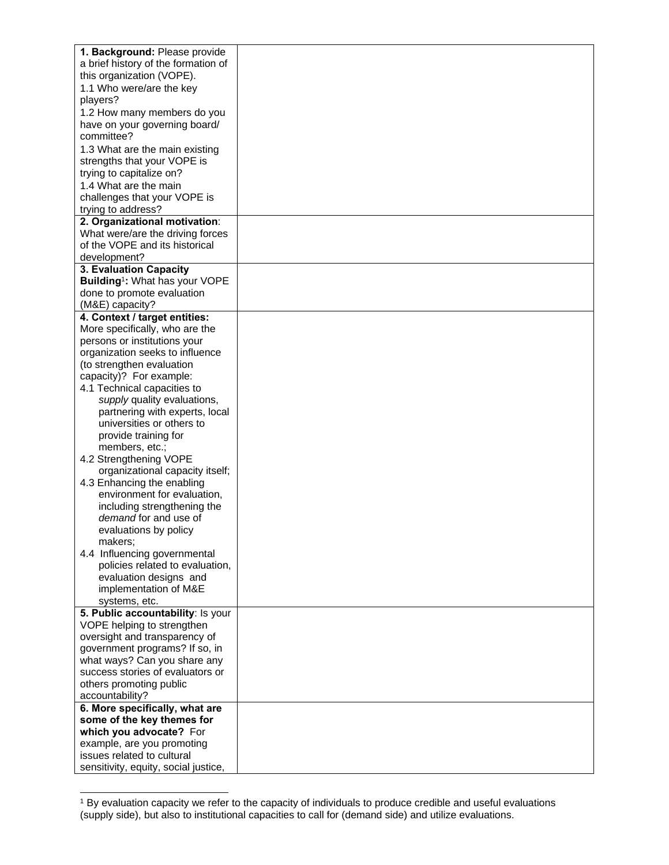| 1. Background: Please provide              |  |
|--------------------------------------------|--|
| a brief history of the formation of        |  |
| this organization (VOPE).                  |  |
| 1.1 Who were/are the key                   |  |
| players?                                   |  |
|                                            |  |
| 1.2 How many members do you                |  |
| have on your governing board/              |  |
| committee?                                 |  |
| 1.3 What are the main existing             |  |
| strengths that your VOPE is                |  |
| trying to capitalize on?                   |  |
| 1.4 What are the main                      |  |
| challenges that your VOPE is               |  |
| trying to address?                         |  |
| 2. Organizational motivation:              |  |
| What were/are the driving forces           |  |
| of the VOPE and its historical             |  |
| development?                               |  |
| 3. Evaluation Capacity                     |  |
| Building <sup>1</sup> : What has your VOPE |  |
| done to promote evaluation                 |  |
| (M&E) capacity?                            |  |
| 4. Context / target entities:              |  |
| More specifically, who are the             |  |
| persons or institutions your               |  |
| organization seeks to influence            |  |
|                                            |  |
| (to strengthen evaluation                  |  |
| capacity)? For example:                    |  |
| 4.1 Technical capacities to                |  |
| supply quality evaluations,                |  |
| partnering with experts, local             |  |
| universities or others to                  |  |
| provide training for                       |  |
| members, etc.;                             |  |
| 4.2 Strengthening VOPE                     |  |
| organizational capacity itself;            |  |
| 4.3 Enhancing the enabling                 |  |
| environment for evaluation,                |  |
| including strengthening the                |  |
| demand for and use of                      |  |
| evaluations by policy                      |  |
| makers;                                    |  |
| 4.4 Influencing governmental               |  |
| policies related to evaluation,            |  |
| evaluation designs and                     |  |
| implementation of M&E                      |  |
| systems, etc.                              |  |
| 5. Public accountability: Is your          |  |
| VOPE helping to strengthen                 |  |
| oversight and transparency of              |  |
| government programs? If so, in             |  |
| what ways? Can you share any               |  |
| success stories of evaluators or           |  |
| others promoting public                    |  |
| accountability?                            |  |
| 6. More specifically, what are             |  |
| some of the key themes for                 |  |
| which you advocate? For                    |  |
| example, are you promoting                 |  |
| issues related to cultural                 |  |
| sensitivity, equity, social justice,       |  |

<sup>1</sup> By evaluation capacity we refer to the capacity of individuals to produce credible and useful evaluations (supply side), but also to institutional capacities to call for (demand side) and utilize evaluations.

 $\overline{a}$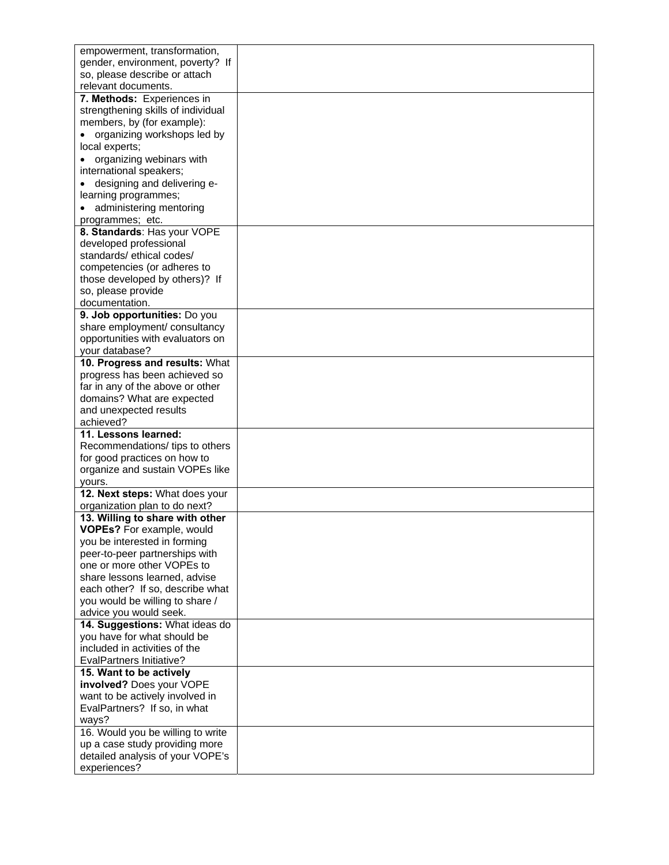| empowerment, transformation,                                 |  |
|--------------------------------------------------------------|--|
| gender, environment, poverty? If                             |  |
| so, please describe or attach                                |  |
| relevant documents.                                          |  |
| 7. Methods: Experiences in                                   |  |
| strengthening skills of individual                           |  |
| members, by (for example):                                   |  |
|                                                              |  |
| organizing workshops led by                                  |  |
| local experts;                                               |  |
| organizing webinars with                                     |  |
| international speakers;                                      |  |
| designing and delivering e-                                  |  |
| learning programmes;                                         |  |
| administering mentoring                                      |  |
| programmes; etc.                                             |  |
| 8. Standards: Has your VOPE                                  |  |
| developed professional                                       |  |
| standards/ethical codes/                                     |  |
| competencies (or adheres to                                  |  |
| those developed by others)? If                               |  |
| so, please provide                                           |  |
| documentation.                                               |  |
| 9. Job opportunities: Do you                                 |  |
| share employment/ consultancy                                |  |
| opportunities with evaluators on                             |  |
| your database?                                               |  |
| 10. Progress and results: What                               |  |
| progress has been achieved so                                |  |
| far in any of the above or other                             |  |
| domains? What are expected                                   |  |
| and unexpected results                                       |  |
| achieved?                                                    |  |
| 11. Lessons learned:                                         |  |
| Recommendations/ tips to others                              |  |
| for good practices on how to                                 |  |
| organize and sustain VOPEs like                              |  |
| yours.                                                       |  |
| 12. Next steps: What does your                               |  |
| organization plan to do next?                                |  |
| 13. Willing to share with other                              |  |
| VOPEs? For example, would                                    |  |
| you be interested in forming                                 |  |
| peer-to-peer partnerships with                               |  |
| one or more other VOPEs to                                   |  |
| share lessons learned, advise                                |  |
| each other? If so, describe what                             |  |
| you would be willing to share /                              |  |
| advice you would seek.                                       |  |
| 14. Suggestions: What ideas do                               |  |
| you have for what should be<br>included in activities of the |  |
|                                                              |  |
| <b>EvalPartners Initiative?</b><br>15. Want to be actively   |  |
| involved? Does your VOPE                                     |  |
|                                                              |  |
| want to be actively involved in                              |  |
| EvalPartners? If so, in what                                 |  |
| ways?                                                        |  |
| 16. Would you be willing to write                            |  |
| up a case study providing more                               |  |
| detailed analysis of your VOPE's                             |  |
| experiences?                                                 |  |